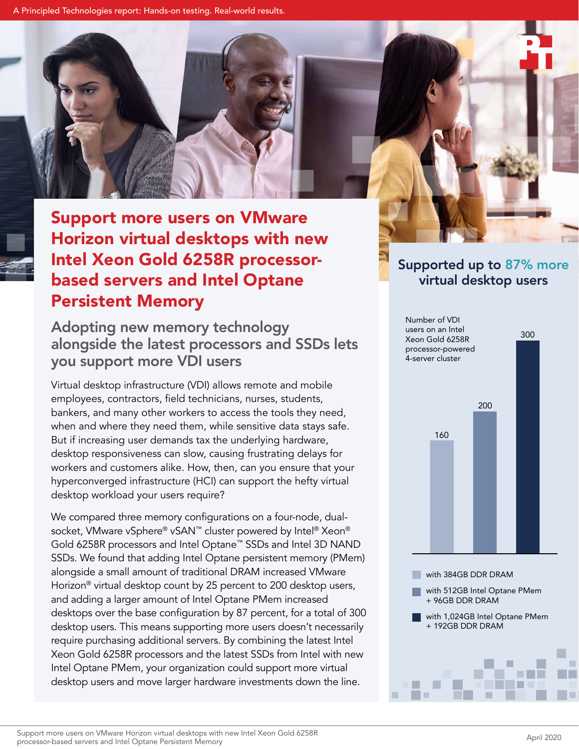A Principled Technologies report: Hands-on testing. Real-world results.



# Horizon virtual desktops with new Intel Xeon Gold 6258R processorbased servers and Intel Optane Persistent Memory

# Adopting new memory technology alongside the latest processors and SSDs lets you support more VDI users

Virtual desktop infrastructure (VDI) allows remote and mobile employees, contractors, field technicians, nurses, students, bankers, and many other workers to access the tools they need, when and where they need them, while sensitive data stays safe. But if increasing user demands tax the underlying hardware, desktop responsiveness can slow, causing frustrating delays for workers and customers alike. How, then, can you ensure that your hyperconverged infrastructure (HCI) can support the hefty virtual desktop workload your users require?

We compared three memory configurations on a four-node, dualsocket, VMware vSphere® vSAN™ cluster powered by Intel® Xeon® Gold 6258R processors and Intel Optane™ SSDs and Intel 3D NAND SSDs. We found that adding Intel Optane persistent memory (PMem) alongside a small amount of traditional DRAM increased VMware Horizon® virtual desktop count by 25 percent to 200 desktop users, and adding a larger amount of Intel Optane PMem increased desktops over the base configuration by 87 percent, for a total of 300 desktop users. This means supporting more users doesn't necessarily require purchasing additional servers. By combining the latest Intel Xeon Gold 6258R processors and the latest SSDs from Intel with new Intel Optane PMem, your organization could support more virtual desktop users and move larger hardware investments down the line.

# Supported up to 87% more virtual desktop users

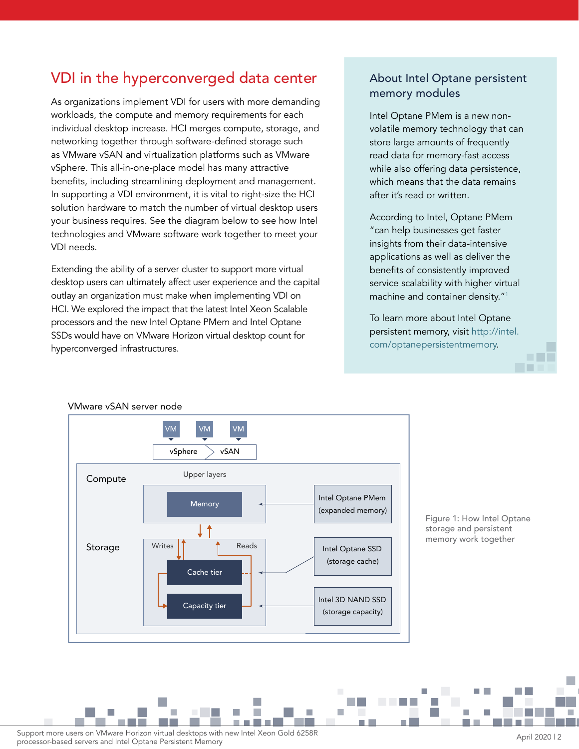# VDI in the hyperconverged data center

As organizations implement VDI for users with more demanding workloads, the compute and memory requirements for each individual desktop increase. HCI merges compute, storage, and networking together through software-defined storage such as VMware vSAN and virtualization platforms such as VMware vSphere. This all-in-one-place model has many attractive benefits, including streamlining deployment and management. In supporting a VDI environment, it is vital to right-size the HCI solution hardware to match the number of virtual desktop users your business requires. See the diagram below to see how Intel technologies and VMware software work together to meet your VDI needs.

Extending the ability of a server cluster to support more virtual desktop users can ultimately affect user experience and the capital outlay an organization must make when implementing VDI on HCI. We explored the impact that the latest Intel Xeon Scalable processors and the new Intel Optane PMem and Intel Optane SSDs would have on VMware Horizon virtual desktop count for hyperconverged infrastructures.

## About Intel Optane persistent memory modules

Intel Optane PMem is a new nonvolatile memory technology that can store large amounts of frequently read data for memory-fast access while also offering data persistence, which means that the data remains after it's read or written.

According to Intel, Optane PMem "can help businesses get faster insights from their data-intensive applications as well as deliver the benefits of consistently improved service scalability with higher virtual machine and container density."<sup>[1](#page-4-0)</sup>

To learn more about Intel Optane persistent memory, visit [http://intel.](http://intel.com/optanepersistentmemory) [com/optanepersistentmemory](http://intel.com/optanepersistentmemory).



#### VMware vSAN server node

Figure 1: How Intel Optane storage and persistent memory work together

Support more users on VMware Horizon virtual desktops with new Intel Xeon Gold 6258R<br>April 2020 | 2 processor-based servers and Intel Optane Persistent Memory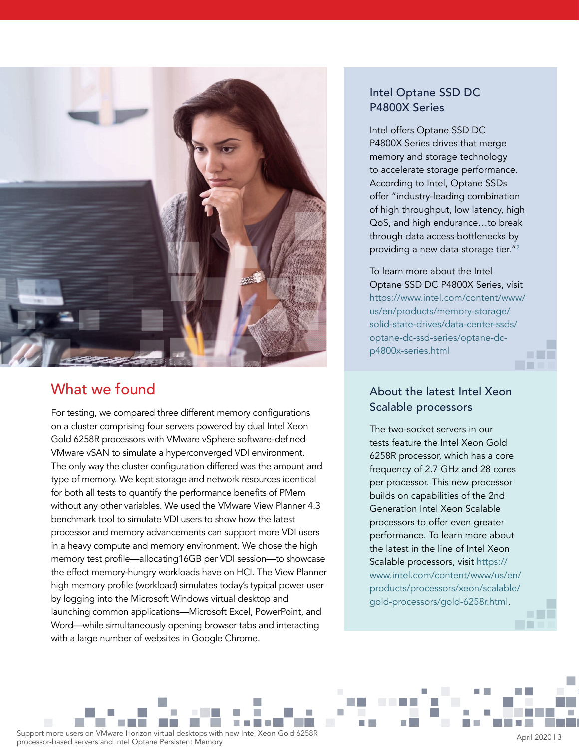

## What we found

For testing, we compared three different memory configurations on a cluster comprising four servers powered by dual Intel Xeon Gold 6258R processors with VMware vSphere software-defined VMware vSAN to simulate a hyperconverged VDI environment. The only way the cluster configuration differed was the amount and type of memory. We kept storage and network resources identical for both all tests to quantify the performance benefits of PMem without any other variables. We used the VMware View Planner 4.3 benchmark tool to simulate VDI users to show how the latest processor and memory advancements can support more VDI users in a heavy compute and memory environment. We chose the high memory test profile—allocating16GB per VDI session—to showcase the effect memory-hungry workloads have on HCI. The View Planner high memory profile (workload) simulates today's typical power user by logging into the Microsoft Windows virtual desktop and launching common applications—Microsoft Excel, PowerPoint, and Word—while simultaneously opening browser tabs and interacting with a large number of websites in Google Chrome.

## Intel Optane SSD DC P4800X Series

Intel offers Optane SSD DC P4800X Series drives that merge memory and storage technology to accelerate storage performance. According to Intel, Optane SSDs offer "industry-leading combination of high throughput, low latency, high QoS, and high endurance…to break through data access bottlenecks by providing a new data storage tier."[2](#page-4-1)

To learn more about the Intel Optane SSD DC P4800X Series, visit [https://www.intel.com/content/www/](https://www.intel.com/content/www/us/en/products/memory-storage/solid-state-drives/data-center-ssds/optane-dc-ssd-series/optane-dc-p4800x-series.html) [us/en/products/memory-storage/](https://www.intel.com/content/www/us/en/products/memory-storage/solid-state-drives/data-center-ssds/optane-dc-ssd-series/optane-dc-p4800x-series.html) [solid-state-drives/data-center-ssds/](https://www.intel.com/content/www/us/en/products/memory-storage/solid-state-drives/data-center-ssds/optane-dc-ssd-series/optane-dc-p4800x-series.html) [optane-dc-ssd-series/optane-dc](https://www.intel.com/content/www/us/en/products/memory-storage/solid-state-drives/data-center-ssds/optane-dc-ssd-series/optane-dc-p4800x-series.html)[p4800x-series.html](https://www.intel.com/content/www/us/en/products/memory-storage/solid-state-drives/data-center-ssds/optane-dc-ssd-series/optane-dc-p4800x-series.html)

a ka

## About the latest Intel Xeon Scalable processors

The two-socket servers in our tests feature the Intel Xeon Gold 6258R processor, which has a core frequency of 2.7 GHz and 28 cores per processor. This new processor builds on capabilities of the 2nd Generation Intel Xeon Scalable processors to offer even greater performance. To learn more about the latest in the line of Intel Xeon Scalable processors, visit [https://](https://www.intel.com/content/www/us/en/products/processors/xeon/scalable/gold-processors/gold-6258r.html) [www.intel.com/content/www/us/en/](https://www.intel.com/content/www/us/en/products/processors/xeon/scalable/gold-processors/gold-6258r.html) [products/processors/xeon/scalable/](https://www.intel.com/content/www/us/en/products/processors/xeon/scalable/gold-processors/gold-6258r.html) [gold-processors/gold-6258r.html](https://www.intel.com/content/www/us/en/products/processors/xeon/scalable/gold-processors/gold-6258r.html).

Support more users on VMware Horizon virtual desktops with new Intel Xeon Gold 6258R<br>April 2020 | 3 processor-based servers and Intel Optane Persistent Memory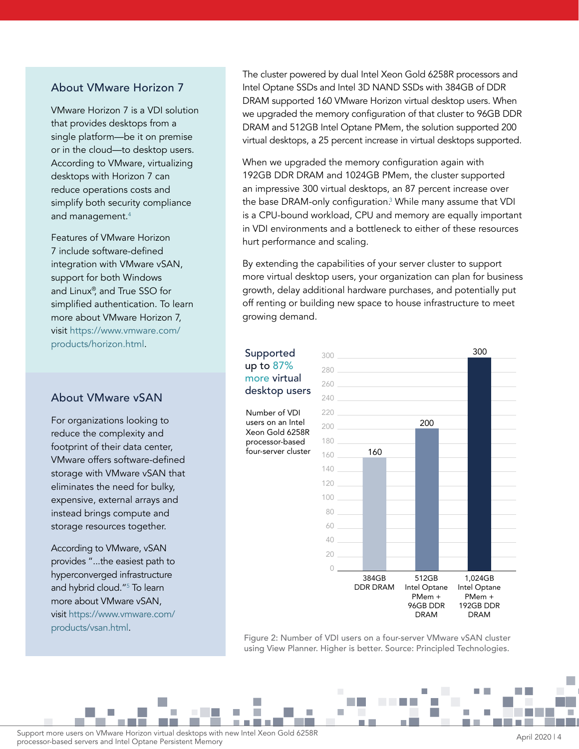#### About VMware Horizon 7

VMware Horizon 7 is a VDI solution that provides desktops from a single platform—be it on premise or in the cloud—to desktop users. According to VMware, virtualizing desktops with Horizon 7 can reduce operations costs and simplify both security compliance and management.<sup>[4](#page-4-4)</sup>

Features of VMware Horizon 7 include software-defined integration with VMware vSAN, support for both Windows and Linux®, and True SSO for simplified authentication. To learn more about VMware Horizon 7, visit [https://www.vmware.com/](https://www.vmware.com/products/horizon.html) [products/horizon.html](https://www.vmware.com/products/horizon.html).

### About VMware vSAN

For organizations looking to reduce the complexity and footprint of their data center, VMware offers software-defined storage with VMware vSAN that eliminates the need for bulky, expensive, external arrays and instead brings compute and storage resources together.

According to VMware, vSAN provides "...the easiest path to hyperconverged infrastructure and hybrid cloud."[5](#page-4-3) To learn more about VMware vSAN, visit [https://www.vmware.com/](https://www.vmware.com/products/vsan.html) [products/vsan.html.](https://www.vmware.com/products/vsan.html)

The cluster powered by dual Intel Xeon Gold 6258R processors and Intel Optane SSDs and Intel 3D NAND SSDs with 384GB of DDR DRAM supported 160 VMware Horizon virtual desktop users. When we upgraded the memory configuration of that cluster to 96GB DDR DRAM and 512GB Intel Optane PMem, the solution supported 200 virtual desktops, a 25 percent increase in virtual desktops supported.

When we upgraded the memory configuration again with 192GB DDR DRAM and 1024GB PMem, the cluster supported an impressive 300 virtual desktops, an 87 percent increase over the base DRAM-only configuration.<sup>3</sup> While many assume that VDI is a CPU-bound workload, CPU and memory are equally important in VDI environments and a bottleneck to either of these resources hurt performance and scaling.

By extending the capabilities of your server cluster to support more virtual desktop users, your organization can plan for business growth, delay additional hardware purchases, and potentially put off renting or building new space to house infrastructure to meet growing demand.

#### Supported up to 87% more virtual desktop users

Number of VDI users on an Intel Xeon Gold 6258R processor-based four-server cluster



Figure 2: Number of VDI users on a four-server VMware vSAN cluster using View Planner. Higher is better. Source: Principled Technologies.

F

n.

Support more users on VMware Horizon virtual desktops with new Intel Xeon Gold 6258R<br>April 2020 | 4 processor-based servers and Intel Optane Persistent Memory